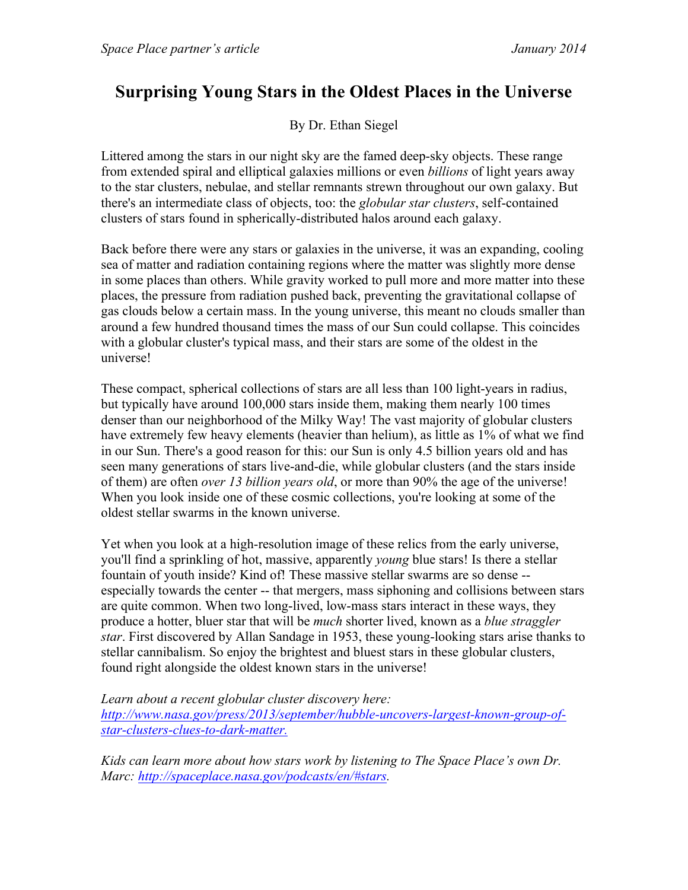## **Surprising Young Stars in the Oldest Places in the Universe**

By Dr. Ethan Siegel

Littered among the stars in our night sky are the famed deep-sky objects. These range from extended spiral and elliptical galaxies millions or even *billions* of light years away to the star clusters, nebulae, and stellar remnants strewn throughout our own galaxy. But there's an intermediate class of objects, too: the *globular star clusters*, self-contained clusters of stars found in spherically-distributed halos around each galaxy.

Back before there were any stars or galaxies in the universe, it was an expanding, cooling sea of matter and radiation containing regions where the matter was slightly more dense in some places than others. While gravity worked to pull more and more matter into these places, the pressure from radiation pushed back, preventing the gravitational collapse of gas clouds below a certain mass. In the young universe, this meant no clouds smaller than around a few hundred thousand times the mass of our Sun could collapse. This coincides with a globular cluster's typical mass, and their stars are some of the oldest in the universe!

These compact, spherical collections of stars are all less than 100 light-years in radius, but typically have around 100,000 stars inside them, making them nearly 100 times denser than our neighborhood of the Milky Way! The vast majority of globular clusters have extremely few heavy elements (heavier than helium), as little as 1% of what we find in our Sun. There's a good reason for this: our Sun is only 4.5 billion years old and has seen many generations of stars live-and-die, while globular clusters (and the stars inside of them) are often *over 13 billion years old*, or more than 90% the age of the universe! When you look inside one of these cosmic collections, you're looking at some of the oldest stellar swarms in the known universe.

Yet when you look at a high-resolution image of these relics from the early universe, you'll find a sprinkling of hot, massive, apparently *young* blue stars! Is there a stellar fountain of youth inside? Kind of! These massive stellar swarms are so dense - especially towards the center -- that mergers, mass siphoning and collisions between stars are quite common. When two long-lived, low-mass stars interact in these ways, they produce a hotter, bluer star that will be *much* shorter lived, known as a *blue straggler star*. First discovered by Allan Sandage in 1953, these young-looking stars arise thanks to stellar cannibalism. So enjoy the brightest and bluest stars in these globular clusters, found right alongside the oldest known stars in the universe!

*Learn about a recent globular cluster discovery here: http://www.nasa.gov/press/2013/september/hubble-uncovers-largest-known-group-ofstar-clusters-clues-to-dark-matter.*

*Kids can learn more about how stars work by listening to The Space Place's own Dr. Marc: http://spaceplace.nasa.gov/podcasts/en/#stars.*